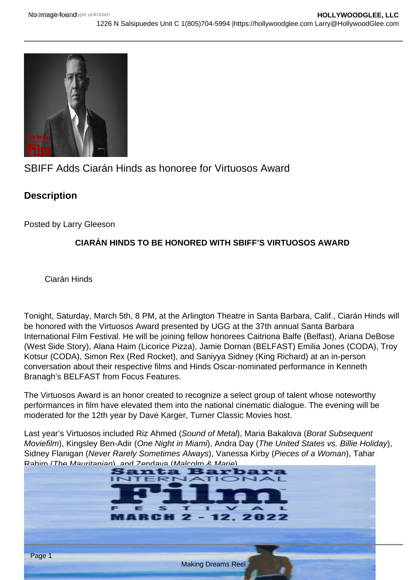# SBIFF Adds Ciarán Hinds as honoree for Virtuosos Award

**Description** 

Posted by Larry Gleeson

## CIARÁN HINDS TO BE HONORED WITH SBIFF'S VIRTUOSOS AWARD

Ciarán Hinds

Tonight, Saturday, March 5th, 8 PM, at the Arlington Theatre in Santa Barbara, Calif., Ciarán Hinds will be honored with the Virtuosos Award presented by UGG at the 37th annual Santa Barbara International Film Festival. He will be joining fellow honorees Caitriona Balfe (Belfast), Ariana DeBose (West Side Story), Alana Haim (Licorice Pizza), Jamie Dornan (BELFAST) Emilia Jones (CODA), Troy Kotsur (CODA), Simon Rex (Red Rocket), and Saniyya Sidney (King Richard) at an in-person conversation about their respective films and Hinds Oscar-nominated performance in Kenneth Branagh's BELFAST from Focus Features.

The Virtuosos Award is an honor created to recognize a select group of talent whose noteworthy performances in film have elevated them into the national cinematic dialogue. The evening will be moderated for the 12th year by Dave Karger, Turner Classic Movies host.

Last year's Virtuosos included Riz Ahmed (Sound of Metal), Maria Bakalova (Borat Subsequent Moviefilm), Kingsley Ben-Adir (One Night in Miami), Andra Day (The United States vs. Billie Holiday), Sidney Flanigan (Never Rarely Sometimes Always), Vanessa Kirby (Pieces of a Woman), Tahar [Rahim \(The Mauritanian\), and Zendaya \(Malcolm & Marie\).](https://i0.wp.com/hollywoodglee.com/wp-content/uploads/2022/02/SBIFF-2022-Poster.png?ssl=1)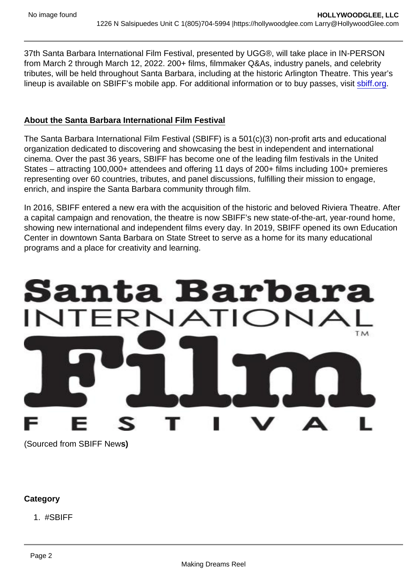37th Santa Barbara International Film Festival, presented by UGG®, will take place in IN-PERSON from March 2 through March 12, 2022. 200+ films, filmmaker Q&As, industry panels, and celebrity tributes, will be held throughout Santa Barbara, including at the historic Arlington Theatre. This year's lineup is available on SBIFF's mobile app. For additional information or to buy passes, visit [sbiff.org](http://sbiff.org).

#### About the Santa Barbara International Film Festival

The Santa Barbara International Film Festival (SBIFF) is a 501(c)(3) non-profit arts and educational organization dedicated to discovering and showcasing the best in independent and international cinema. Over the past 36 years, SBIFF has become one of the leading film festivals in the United States – attracting 100,000+ attendees and offering 11 days of 200+ films including 100+ premieres representing over 60 countries, tributes, and panel discussions, fulfilling their mission to engage, enrich, and inspire the Santa Barbara community through film.

In 2016, SBIFF entered a new era with the acquisition of the historic and beloved Riviera Theatre. After a capital campaign and renovation, the theatre is now SBIFF's new state-of-the-art, year-round home, showing new international and independent films every day. In 2019, SBIFF opened its own Education Center in downtown Santa Barbara on State Street to serve as a home for its many educational programs and a place for creativity and learning.

(Sourced from SBIFF News)

**Category** 

1. #SBIFF